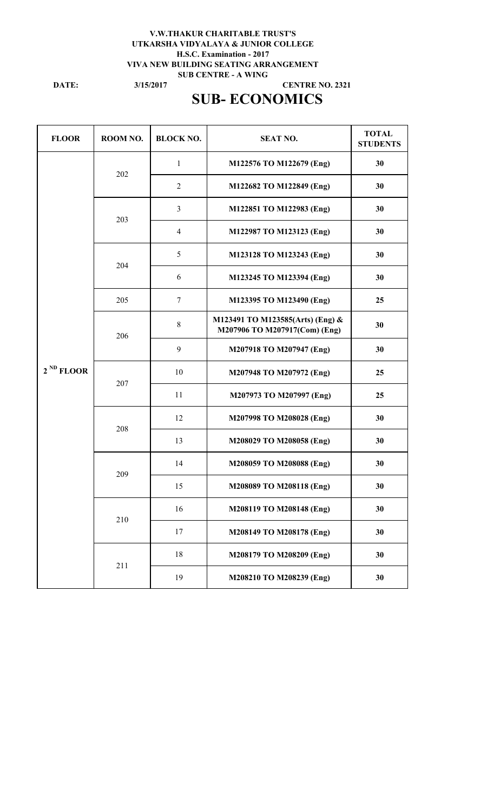#### **3/15/2017 V.W.THAKUR CHARITABLE TRUST'S UTKARSHA VIDYALAYA & JUNIOR COLLEGE H.S.C. Examination - 2017 VIVA NEW BUILDING SEATING ARRANGEMENT SUB CENTRE - A WING CENTRE NO. 2321**

**DATE:**

# **SUB- ECONOMICS**

| <b>FLOOR</b>   | ROOM NO. | <b>BLOCK NO.</b> | <b>SEAT NO.</b>                                                   | <b>TOTAL</b><br><b>STUDENTS</b> |
|----------------|----------|------------------|-------------------------------------------------------------------|---------------------------------|
|                | 202      | $\mathbf{1}$     | M122576 TO M122679 (Eng)                                          | 30                              |
|                |          | $\overline{2}$   | M122682 TO M122849 (Eng)                                          | 30                              |
|                | 203      | $\overline{3}$   | M122851 TO M122983 (Eng)                                          | 30                              |
|                |          | $\overline{4}$   | M122987 TO M123123 (Eng)                                          | 30                              |
|                | 204      | 5                | M123128 TO M123243 (Eng)                                          | 30                              |
|                |          | 6                | M123245 TO M123394 (Eng)                                          | 30                              |
|                | 205      | $\boldsymbol{7}$ | M123395 TO M123490 (Eng)                                          | 25                              |
| $2^{ND}$ FLOOR | 206      | $8\,$            | M123491 TO M123585(Arts) (Eng) &<br>M207906 TO M207917(Com) (Eng) | 30                              |
|                |          | 9                | M207918 TO M207947 (Eng)                                          | 30                              |
|                | 207      | 10               | M207948 TO M207972 (Eng)                                          | 25                              |
|                |          | 11               | M207973 TO M207997 (Eng)                                          | 25                              |
|                | 208      | 12               | M207998 TO M208028 (Eng)                                          | 30                              |
|                |          | 13               | M208029 TO M208058 (Eng)                                          | 30                              |
|                | 209      | 14               | M208059 TO M208088 (Eng)                                          | 30                              |
|                |          | 15               | M208089 TO M208118 (Eng)                                          | 30                              |
|                | 210      | 16               | M208119 TO M208148 (Eng)                                          | 30                              |
|                |          | 17               | M208149 TO M208178 (Eng)                                          | 30                              |
|                | 211      | 18               | M208179 TO M208209 (Eng)                                          | 30                              |
|                |          | 19               | M208210 TO M208239 (Eng)                                          | 30                              |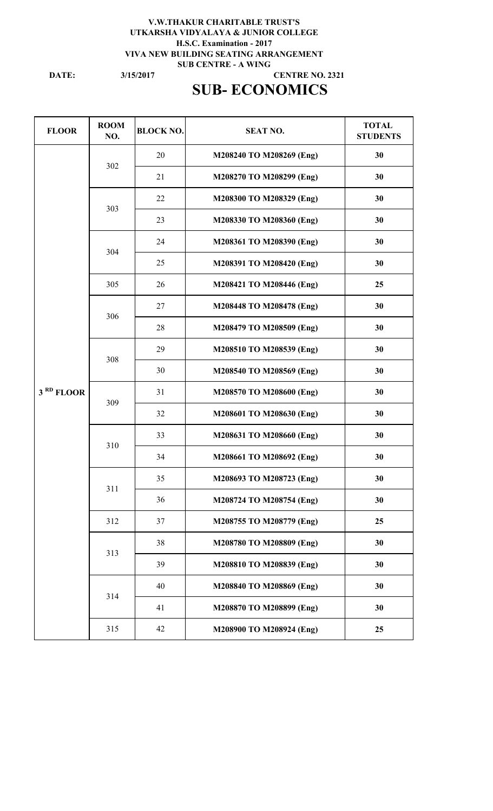### **V.W.THAKUR CHARITABLE TRUST'S UTKARSHA VIDYALAYA & JUNIOR COLLEGE H.S.C. Examination - 2017 VIVA NEW BUILDING SEATING ARRANGEMENT SUB CENTRE - A WING CENTRE NO. 2321**

**DATE:**

**3/15/2017**

# **SUB- ECONOMICS**

| <b>FLOOR</b>          | <b>ROOM</b><br>NO. | <b>BLOCK NO.</b> | <b>SEAT NO.</b>          | <b>TOTAL</b><br><b>STUDENTS</b> |
|-----------------------|--------------------|------------------|--------------------------|---------------------------------|
|                       | 302                | 20               | M208240 TO M208269 (Eng) | 30                              |
|                       |                    | 21               | M208270 TO M208299 (Eng) | 30                              |
|                       | 303                | 22               | M208300 TO M208329 (Eng) | 30                              |
|                       |                    | 23               | M208330 TO M208360 (Eng) | 30                              |
|                       | 304                | 24               | M208361 TO M208390 (Eng) | 30                              |
|                       |                    | 25               | M208391 TO M208420 (Eng) | 30                              |
|                       | 305                | 26               | M208421 TO M208446 (Eng) | 25                              |
|                       |                    | 27               | M208448 TO M208478 (Eng) | 30                              |
|                       | 306                | 28               | M208479 TO M208509 (Eng) | 30                              |
|                       | 308                | 29               | M208510 TO M208539 (Eng) | 30                              |
|                       |                    | 30               | M208540 TO M208569 (Eng) | 30                              |
| 3 <sup>RD</sup> FLOOR | 309                | 31               | M208570 TO M208600 (Eng) | 30                              |
|                       |                    | 32               | M208601 TO M208630 (Eng) | 30                              |
|                       | 310                | 33               | M208631 TO M208660 (Eng) | 30                              |
|                       |                    | 34               | M208661 TO M208692 (Eng) | 30                              |
|                       | 311                | 35               | M208693 TO M208723 (Eng) | 30                              |
|                       |                    | 36               | M208724 TO M208754 (Eng) | 30                              |
|                       | 312                | 37               | M208755 TO M208779 (Eng) | 25                              |
|                       | 313                | 38               | M208780 TO M208809 (Eng) | 30                              |
|                       |                    | 39               | M208810 TO M208839 (Eng) | 30                              |
|                       | 314                | 40               | M208840 TO M208869 (Eng) | 30                              |
|                       |                    | 41               | M208870 TO M208899 (Eng) | 30                              |
|                       | 315                | 42               | M208900 TO M208924 (Eng) | 25                              |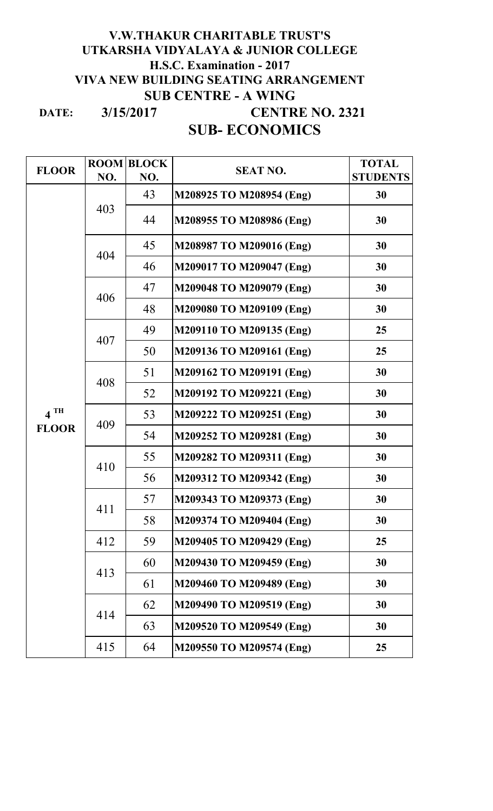### **DATE: V.W.THAKUR CHARITABLE TRUST'S UTKARSHA VIDYALAYA & JUNIOR COLLEGE H.S.C. Examination - 2017 VIVA NEW BUILDING SEATING ARRANGEMENT SUB CENTRE - A WING CENTRE NO. 2321 SUB- ECONOMICS 3/15/2017**

| <b>FLOOR</b>      |     | <b>ROOM BLOCK</b> | <b>SEAT NO.</b>          | <b>TOTAL</b>    |
|-------------------|-----|-------------------|--------------------------|-----------------|
|                   | NO. | NO.               |                          | <b>STUDENTS</b> |
|                   | 403 | 43                | M208925 TO M208954 (Eng) | 30              |
|                   |     | 44                | M208955 TO M208986 (Eng) | 30              |
|                   | 404 | 45                | M208987 TO M209016 (Eng) | 30              |
|                   |     | 46                | M209017 TO M209047 (Eng) | 30              |
|                   | 406 | 47                | M209048 TO M209079 (Eng) | 30              |
|                   |     | 48                | M209080 TO M209109 (Eng) | 30              |
|                   |     | 49                | M209110 TO M209135 (Eng) | 25              |
|                   | 407 | 50                | M209136 TO M209161 (Eng) | 25              |
|                   | 408 | 51                | M209162 TO M209191 (Eng) | 30              |
|                   |     | 52                | M209192 TO M209221 (Eng) | 30              |
| $4$ <sup>TH</sup> | 409 | 53                | M209222 TO M209251 (Eng) | 30              |
| <b>FLOOR</b>      |     | 54                | M209252 TO M209281 (Eng) | 30              |
|                   | 410 | 55                | M209282 TO M209311 (Eng) | 30              |
|                   |     | 56                | M209312 TO M209342 (Eng) | 30              |
|                   | 411 | 57                | M209343 TO M209373 (Eng) | 30              |
|                   |     | 58                | M209374 TO M209404 (Eng) | 30              |
|                   | 412 | 59                | M209405 TO M209429 (Eng) | 25              |
|                   | 413 | 60                | M209430 TO M209459 (Eng) | 30              |
|                   |     | 61                | M209460 TO M209489 (Eng) | 30              |
|                   | 414 | 62                | M209490 TO M209519 (Eng) | 30              |
|                   |     | 63                | M209520 TO M209549 (Eng) | 30              |
|                   | 415 | 64                | M209550 TO M209574 (Eng) | 25              |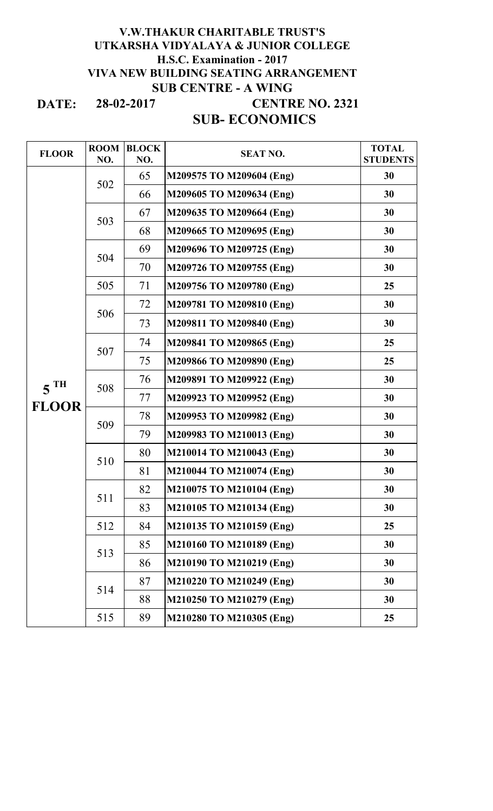### **DATE: SUB- ECONOMICS V.W.THAKUR CHARITABLE TRUST'S UTKARSHA VIDYALAYA & JUNIOR COLLEGE H.S.C. Examination - 2017 VIVA NEW BUILDING SEATING ARRANGEMENT SUB CENTRE - A WING CENTRE NO. 2321 28-02-2017**

| <b>FLOOR</b>      | <b>ROOM</b><br>NO. | <b>BLOCK</b><br>NO. | <b>SEAT NO.</b>          | <b>TOTAL</b><br><b>STUDENTS</b> |
|-------------------|--------------------|---------------------|--------------------------|---------------------------------|
|                   | 502                | 65                  | M209575 TO M209604 (Eng) | 30                              |
|                   |                    | 66                  | M209605 TO M209634 (Eng) | 30                              |
|                   | 503                | 67                  | M209635 TO M209664 (Eng) | 30                              |
|                   |                    | 68                  | M209665 TO M209695 (Eng) | 30                              |
|                   | 504                | 69                  | M209696 TO M209725 (Eng) | 30                              |
|                   |                    | 70                  | M209726 TO M209755 (Eng) | 30                              |
|                   | 505                | 71                  | M209756 TO M209780 (Eng) | 25                              |
|                   |                    | 72                  | M209781 TO M209810 (Eng) | 30                              |
|                   | 506                | 73                  | M209811 TO M209840 (Eng) | 30                              |
|                   | 507                | 74                  | M209841 TO M209865 (Eng) | 25                              |
|                   |                    | 75                  | M209866 TO M209890 (Eng) | 25                              |
| $5$ <sup>TH</sup> | 508                | 76                  | M209891 TO M209922 (Eng) | 30                              |
|                   |                    | 77                  | M209923 TO M209952 (Eng) | 30                              |
| <b>FLOOR</b>      | 509                | 78                  | M209953 TO M209982 (Eng) | 30                              |
|                   |                    | 79                  | M209983 TO M210013 (Eng) | 30                              |
|                   | 510                | 80                  | M210014 TO M210043 (Eng) | 30                              |
|                   |                    | 81                  | M210044 TO M210074 (Eng) | 30                              |
|                   | 511                | 82                  | M210075 TO M210104 (Eng) | 30                              |
|                   |                    | 83                  | M210105 TO M210134 (Eng) | 30                              |
|                   | 512                | 84                  | M210135 TO M210159 (Eng) | 25                              |
|                   | 513                | 85                  | M210160 TO M210189 (Eng) | 30                              |
|                   |                    | 86                  | M210190 TO M210219 (Eng) | 30                              |
|                   | 514                | 87                  | M210220 TO M210249 (Eng) | 30                              |
|                   |                    | 88                  | M210250 TO M210279 (Eng) | 30                              |
|                   | 515                | 89                  | M210280 TO M210305 (Eng) | 25                              |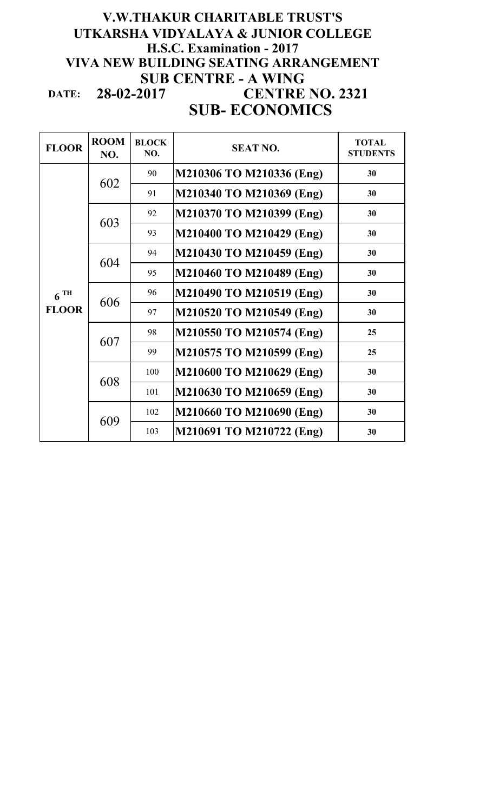## **DATE: SUB- ECONOMICS V.W.THAKUR CHARITABLE TRUST'S UTKARSHA VIDYALAYA & JUNIOR COLLEGE H.S.C. Examination - 2017 VIVA NEW BUILDING SEATING ARRANGEMENT SUB CENTRE - A WING<br>28-02-2017 CENTRE 28-02-2017 CENTRE NO. 2321**

| <b>FLOOR</b>      | <b>ROOM</b><br>NO. | <b>BLOCK</b><br>NO. | <b>SEAT NO.</b>          | <b>TOTAL</b><br><b>STUDENTS</b> |
|-------------------|--------------------|---------------------|--------------------------|---------------------------------|
|                   | 602                | 90                  | M210306 TO M210336 (Eng) | 30                              |
|                   |                    | 91                  | M210340 TO M210369 (Eng) | 30                              |
|                   | 603                | 92                  | M210370 TO M210399 (Eng) | 30                              |
|                   |                    | 93                  | M210400 TO M210429 (Eng) | 30                              |
|                   | 604                | 94                  | M210430 TO M210459 (Eng) | 30                              |
|                   |                    | 95                  | M210460 TO M210489 (Eng) | 30                              |
| $6$ <sup>TH</sup> | 606                | 96                  | M210490 TO M210519 (Eng) | 30                              |
| <b>FLOOR</b>      |                    | 97                  | M210520 TO M210549 (Eng) | 30                              |
|                   | 607                | 98                  | M210550 TO M210574 (Eng) | 25                              |
|                   |                    | 99                  | M210575 TO M210599 (Eng) | 25                              |
|                   | 608                | 100                 | M210600 TO M210629 (Eng) | 30                              |
|                   |                    | 101                 | M210630 TO M210659 (Eng) | 30                              |
|                   | 609                | 102                 | M210660 TO M210690 (Eng) | 30                              |
|                   |                    | 103                 | M210691 TO M210722 (Eng) | 30                              |